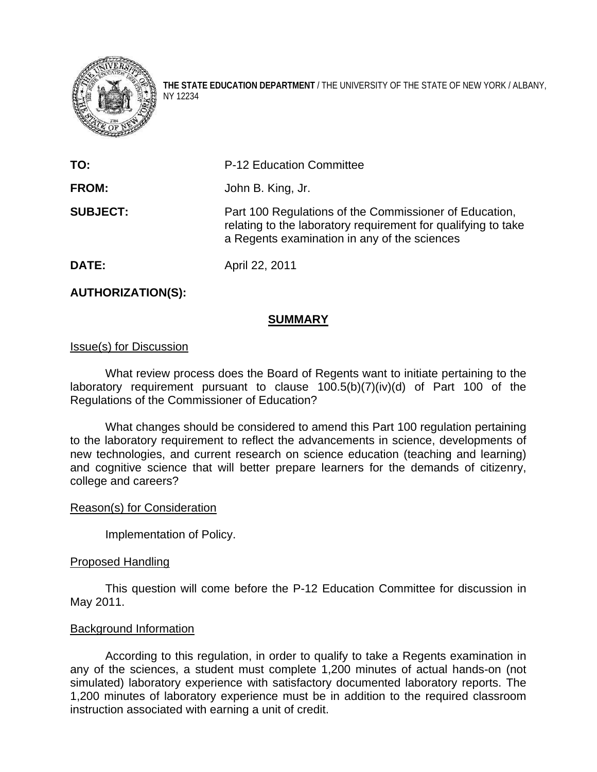

**THE STATE EDUCATION DEPARTMENT** / THE UNIVERSITY OF THE STATE OF NEW YORK / ALBANY, NY 12234

| TO:             | <b>P-12 Education Committee</b>                                                                                                                                         |
|-----------------|-------------------------------------------------------------------------------------------------------------------------------------------------------------------------|
| <b>FROM:</b>    | John B. King, Jr.                                                                                                                                                       |
| <b>SUBJECT:</b> | Part 100 Regulations of the Commissioner of Education,<br>relating to the laboratory requirement for qualifying to take<br>a Regents examination in any of the sciences |

**DATE:** April 22, 2011

### **AUTHORIZATION(S):**

#### **SUMMARY**

#### Issue(s) for Discussion

 What review process does the Board of Regents want to initiate pertaining to the laboratory requirement pursuant to clause 100.5(b)(7)(iv)(d) of Part 100 of the Regulations of the Commissioner of Education?

What changes should be considered to amend this Part 100 regulation pertaining to the laboratory requirement to reflect the advancements in science, developments of new technologies, and current research on science education (teaching and learning) and cognitive science that will better prepare learners for the demands of citizenry, college and careers?

#### Reason(s) for Consideration

Implementation of Policy.

#### Proposed Handling

This question will come before the P-12 Education Committee for discussion in May 2011.

### Background Information

 According to this regulation, in order to qualify to take a Regents examination in any of the sciences, a student must complete 1,200 minutes of actual hands-on (not simulated) laboratory experience with satisfactory documented laboratory reports. The 1,200 minutes of laboratory experience must be in addition to the required classroom instruction associated with earning a unit of credit.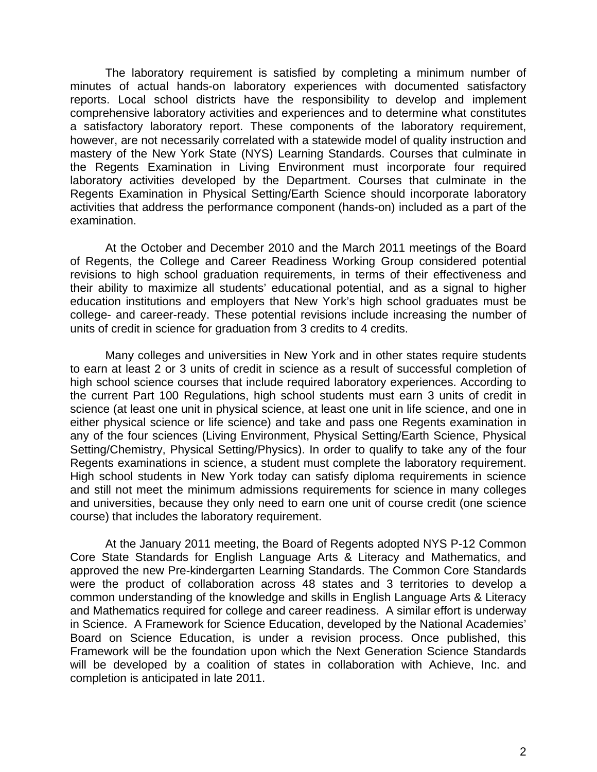The laboratory requirement is satisfied by completing a minimum number of minutes of actual hands-on laboratory experiences with documented satisfactory reports. Local school districts have the responsibility to develop and implement comprehensive laboratory activities and experiences and to determine what constitutes a satisfactory laboratory report. These components of the laboratory requirement, however, are not necessarily correlated with a statewide model of quality instruction and mastery of the New York State (NYS) Learning Standards. Courses that culminate in the Regents Examination in Living Environment must incorporate four required laboratory activities developed by the Department. Courses that culminate in the Regents Examination in Physical Setting/Earth Science should incorporate laboratory activities that address the performance component (hands-on) included as a part of the examination.

At the October and December 2010 and the March 2011 meetings of the Board of Regents, the College and Career Readiness Working Group considered potential revisions to high school graduation requirements, in terms of their effectiveness and their ability to maximize all students' educational potential, and as a signal to higher education institutions and employers that New York's high school graduates must be college- and career-ready. These potential revisions include increasing the number of units of credit in science for graduation from 3 credits to 4 credits.

 Many colleges and universities in New York and in other states require students to earn at least 2 or 3 units of credit in science as a result of successful completion of high school science courses that include required laboratory experiences. According to the current Part 100 Regulations, high school students must earn 3 units of credit in science (at least one unit in physical science, at least one unit in life science, and one in either physical science or life science) and take and pass one Regents examination in any of the four sciences (Living Environment, Physical Setting/Earth Science, Physical Setting/Chemistry, Physical Setting/Physics). In order to qualify to take any of the four Regents examinations in science, a student must complete the laboratory requirement. High school students in New York today can satisfy diploma requirements in science and still not meet the minimum admissions requirements for science in many colleges and universities, because they only need to earn one unit of course credit (one science course) that includes the laboratory requirement.

At the January 2011 meeting, the Board of Regents adopted NYS P-12 Common Core State Standards for English Language Arts & Literacy and Mathematics, and approved the new Pre-kindergarten Learning Standards. The Common Core Standards were the product of collaboration across 48 states and 3 territories to develop a common understanding of the knowledge and skills in English Language Arts & Literacy and Mathematics required for college and career readiness. A similar effort is underway in Science. A Framework for Science Education, developed by the National Academies' Board on Science Education, is under a revision process. Once published, this Framework will be the foundation upon which the Next Generation Science Standards will be developed by a coalition of states in collaboration with Achieve, Inc. and completion is anticipated in late 2011.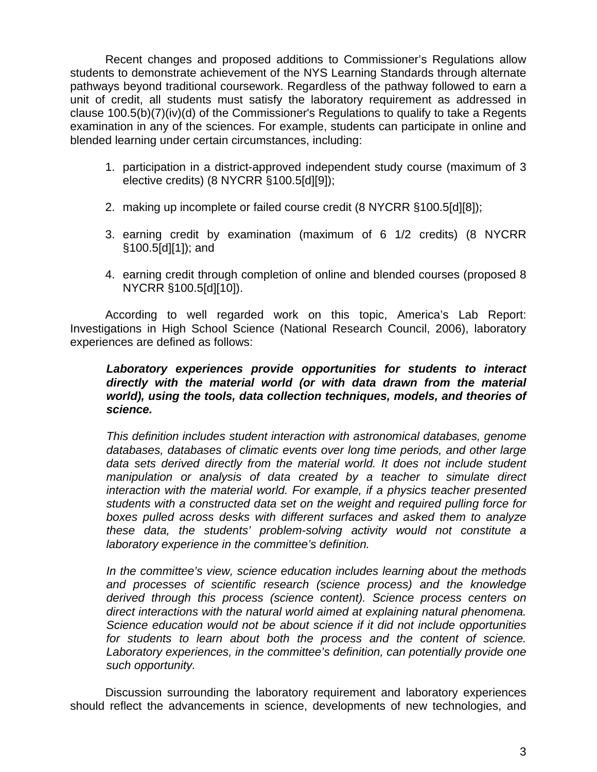Recent changes and proposed additions to Commissioner's Regulations allow students to demonstrate achievement of the NYS Learning Standards through alternate pathways beyond traditional coursework. Regardless of the pathway followed to earn a unit of credit, all students must satisfy the laboratory requirement as addressed in clause 100.5(b)(7)(iv)(d) of the Commissioner's Regulations to qualify to take a Regents examination in any of the sciences. For example, students can participate in online and blended learning under certain circumstances, including:

- 1. participation in a district-approved independent study course (maximum of 3 elective credits) (8 NYCRR §100.5[d][9]);
- 2. making up incomplete or failed course credit (8 NYCRR §100.5[d][8]);
- 3. earning credit by examination (maximum of 6 1/2 credits) (8 NYCRR §100.5[d][1]); and
- 4. earning credit through completion of online and blended courses (proposed 8 NYCRR §100.5[d][10]).

 According to well regarded work on this topic, America's Lab Report: Investigations in High School Science (National Research Council, 2006), laboratory experiences are defined as follows:

## *Laboratory experiences provide opportunities for students to interact directly with the material world (or with data drawn from the material world), using the tools, data collection techniques, models, and theories of science.*

*This definition includes student interaction with astronomical databases, genome databases, databases of climatic events over long time periods, and other large*  data sets derived directly from the material world. It does not include student *manipulation or analysis of data created by a teacher to simulate direct interaction with the material world. For example, if a physics teacher presented students with a constructed data set on the weight and required pulling force for boxes pulled across desks with different surfaces and asked them to analyze these data, the students' problem-solving activity would not constitute a laboratory experience in the committee's definition.* 

*In the committee's view, science education includes learning about the methods and processes of scientific research (science process) and the knowledge derived through this process (science content). Science process centers on direct interactions with the natural world aimed at explaining natural phenomena. Science education would not be about science if it did not include opportunities for students to learn about both the process and the content of science. Laboratory experiences, in the committee's definition, can potentially provide one such opportunity.* 

 Discussion surrounding the laboratory requirement and laboratory experiences should reflect the advancements in science, developments of new technologies, and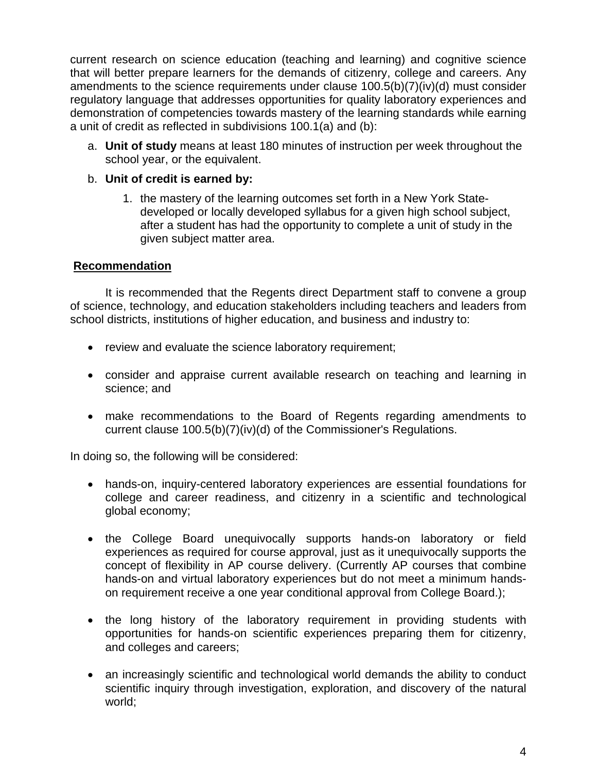current research on science education (teaching and learning) and cognitive science that will better prepare learners for the demands of citizenry, college and careers. Any amendments to the science requirements under clause 100.5(b)(7)(iv)(d) must consider regulatory language that addresses opportunities for quality laboratory experiences and demonstration of competencies towards mastery of the learning standards while earning a unit of credit as reflected in subdivisions 100.1(a) and (b):

a. **Unit of study** means at least 180 minutes of instruction per week throughout the school year, or the equivalent.

# b. **Unit of credit is earned by:**

1. the mastery of the learning outcomes set forth in a New York Statedeveloped or locally developed syllabus for a given high school subject, after a student has had the opportunity to complete a unit of study in the given subject matter area.

# **Recommendation**

 It is recommended that the Regents direct Department staff to convene a group of science, technology, and education stakeholders including teachers and leaders from school districts, institutions of higher education, and business and industry to:

- review and evaluate the science laboratory requirement;
- consider and appraise current available research on teaching and learning in science; and
- make recommendations to the Board of Regents regarding amendments to current clause 100.5(b)(7)(iv)(d) of the Commissioner's Regulations.

In doing so, the following will be considered:

- hands-on, inquiry-centered laboratory experiences are essential foundations for college and career readiness, and citizenry in a scientific and technological global economy;
- the College Board unequivocally supports hands-on laboratory or field experiences as required for course approval, just as it unequivocally supports the concept of flexibility in AP course delivery. (Currently AP courses that combine hands-on and virtual laboratory experiences but do not meet a minimum handson requirement receive a one year conditional approval from College Board.);
- the long history of the laboratory requirement in providing students with opportunities for hands-on scientific experiences preparing them for citizenry, and colleges and careers;
- an increasingly scientific and technological world demands the ability to conduct scientific inquiry through investigation, exploration, and discovery of the natural world;